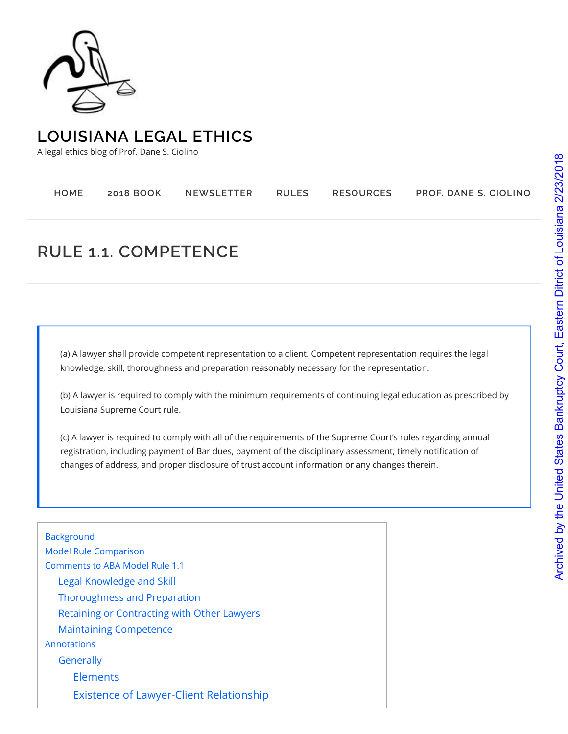

# [LOUISIANA LEGAL ETHICS](https://lalegalethics.org/)

A legal ethics blog of Prof. Dane S. Ciolino

| <b>HOME</b> | 2018 BOOK | NEWSLETTER | RULES | RESOURCES | PROF. DANE S. CIOLINO |
|-------------|-----------|------------|-------|-----------|-----------------------|
|             |           |            |       |           |                       |

# RULE 1.1. COMPETENCE

(a) A lawyer shall provide competent representation to a client. Competent representation requires the legal knowledge, skill, thoroughness and preparation reasonably necessary for the representation.

(b) A lawyer is required to comply with the minimum requirements of continuing legal education as prescribed by Louisiana Supreme Court rule.

(c) A lawyer is required to comply with all of the requirements of the Supreme Court's rules regarding annual registration, including payment of Bar dues, payment of the disciplinary assessment, timely notification of changes of address, and proper disclosure of trust account information or any changes therein.

[Background](#page-1-0) [Model Rule Comparison](#page-1-1) [Comments to ABA Model Rule 1.1](#page-1-2) [Legal Knowledge and Skill](#page-1-3) [Thoroughness and Preparation](#page-2-0) [Retaining or Contracting with Other Lawyers](#page-2-1) [Maintaining Competence](#page-2-2) [Annotations](#page-2-3) **[Generally](#page-2-4) [Elements](#page-3-0)** [Existence of Lawyer-Client Relationship](#page-3-1)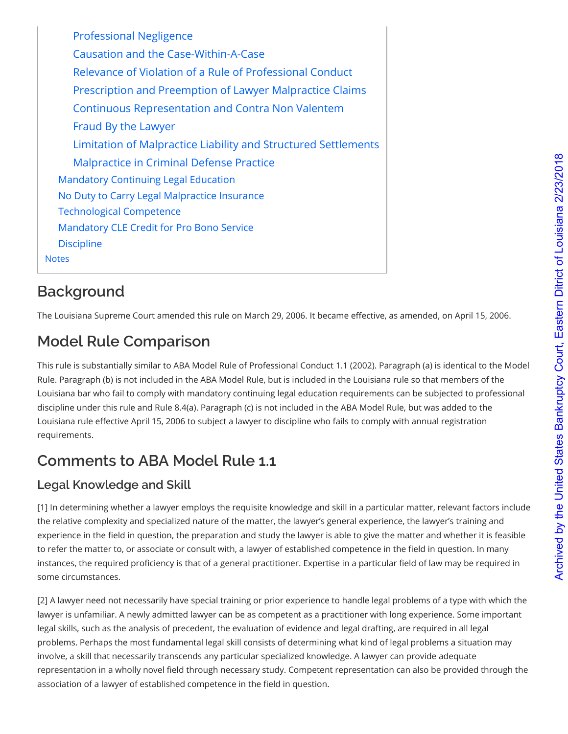| <b>Professional Negligence</b>                                 |
|----------------------------------------------------------------|
| <b>Causation and the Case-Within-A-Case</b>                    |
| Relevance of Violation of a Rule of Professional Conduct       |
| Prescription and Preemption of Lawyer Malpractice Claims       |
| <b>Continuous Representation and Contra Non Valentem</b>       |
| Fraud By the Lawyer                                            |
| Limitation of Malpractice Liability and Structured Settlements |
| <b>Malpractice in Criminal Defense Practice</b>                |
| <b>Mandatory Continuing Legal Education</b>                    |
| No Duty to Carry Legal Malpractice Insurance                   |
| <b>Technological Competence</b>                                |
| <b>Mandatory CLE Credit for Pro Bono Service</b>               |
| <b>Discipline</b>                                              |
| <b>Notes</b>                                                   |

# <span id="page-1-0"></span>**Background**

The Louisiana Supreme Court amended this rule on March 29, 2006. It became effective, as amended, on April 15, 2006.

# <span id="page-1-1"></span>Model Rule Comparison

This rule is substantially similar to ABA Model Rule of Professional Conduct 1.1 (2002). Paragraph (a) is identical to the Model Rule. Paragraph (b) is not included in the ABA Model Rule, but is included in the Louisiana rule so that members of the Louisiana bar who fail to comply with mandatory continuing legal education requirements can be subjected to professional discipline under this rule and Rule 8.4(a). Paragraph (c) is not included in the ABA Model Rule, but was added to the Louisiana rule effective April 15, 2006 to subject a lawyer to discipline who fails to comply with annual registration requirements.

# <span id="page-1-2"></span>Comments to ABA Model Rule 1.1

## <span id="page-1-3"></span>Legal Knowledge and Skill

[1] In determining whether a lawyer employs the requisite knowledge and skill in a particular matter, relevant factors include the relative complexity and specialized nature of the matter, the lawyer's general experience, the lawyer's training and experience in the field in question, the preparation and study the lawyer is able to give the matter and whether it is feasible to refer the matter to, or associate or consult with, a lawyer of established competence in the field in question. In many instances, the required proficiency is that of a general practitioner. Expertise in a particular field of law may be required in some circumstances.

[2] A lawyer need not necessarily have special training or prior experience to handle legal problems of a type with which the lawyer is unfamiliar. A newly admitted lawyer can be as competent as a practitioner with long experience. Some important legal skills, such as the analysis of precedent, the evaluation of evidence and legal drafting, are required in all legal problems. Perhaps the most fundamental legal skill consists of determining what kind of legal problems a situation may involve, a skill that necessarily transcends any particular specialized knowledge. A lawyer can provide adequate representation in a wholly novel field through necessary study. Competent representation can also be provided through the association of a lawyer of established competence in the field in question.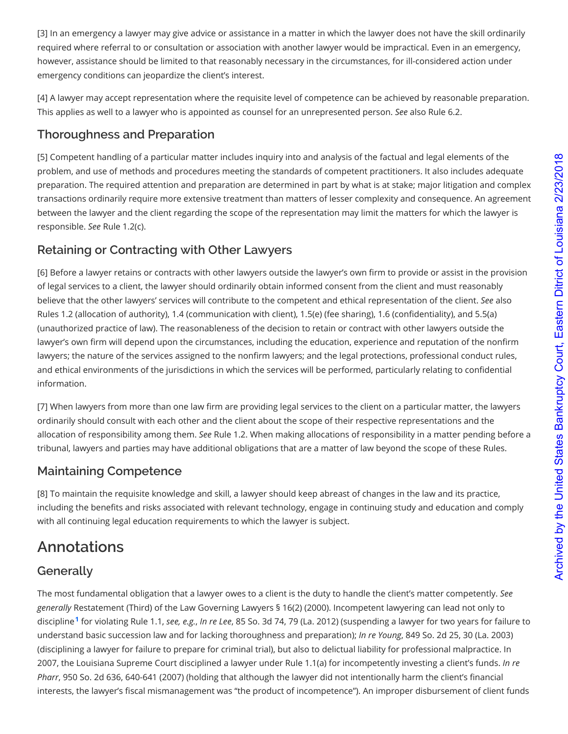[3] In an emergency a lawyer may give advice or assistance in a matter in which the lawyer does not have the skill ordinarily required where referral to or consultation or association with another lawyer would be impractical. Even in an emergency, however, assistance should be limited to that reasonably necessary in the circumstances, for ill-considered action under emergency conditions can jeopardize the client's interest.

[4] A lawyer may accept representation where the requisite level of competence can be achieved by reasonable preparation. This applies as well to a lawyer who is appointed as counsel for an unrepresented person. See also Rule 6.2.

### <span id="page-2-0"></span>Thoroughness and Preparation

[5] Competent handling of a particular matter includes inquiry into and analysis of the factual and legal elements of the problem, and use of methods and procedures meeting the standards of competent practitioners. It also includes adequate preparation. The required attention and preparation are determined in part by what is at stake; major litigation and complex transactions ordinarily require more extensive treatment than matters of lesser complexity and consequence. An agreement between the lawyer and the client regarding the scope of the representation may limit the matters for which the lawyer is responsible. See Rule 1.2(c).

## <span id="page-2-1"></span>Retaining or Contracting with Other Lawyers

[6] Before a lawyer retains or contracts with other lawyers outside the lawyer's own firm to provide or assist in the provision of legal services to a client, the lawyer should ordinarily obtain informed consent from the client and must reasonably believe that the other lawyers' services will contribute to the competent and ethical representation of the client. See also Rules 1.2 (allocation of authority), 1.4 (communication with client), 1.5(e) (fee sharing), 1.6 (confidentiality), and 5.5(a) (unauthorized practice of law). The reasonableness of the decision to retain or contract with other lawyers outside the lawyer's own firm will depend upon the circumstances, including the education, experience and reputation of the nonfirm lawyers; the nature of the services assigned to the nonfirm lawyers; and the legal protections, professional conduct rules, and ethical environments of the jurisdictions in which the services will be performed, particularly relating to confidential information.

[7] When lawyers from more than one law firm are providing legal services to the client on a particular matter, the lawyers ordinarily should consult with each other and the client about the scope of their respective representations and the allocation of responsibility among them. See Rule 1.2. When making allocations of responsibility in a matter pending before a tribunal, lawyers and parties may have additional obligations that are a matter of law beyond the scope of these Rules.

## <span id="page-2-2"></span>Maintaining Competence

[8] To maintain the requisite knowledge and skill, a lawyer should keep abreast of changes in the law and its practice, including the benefits and risks associated with relevant technology, engage in continuing study and education and comply with all continuing legal education requirements to which the lawyer is subject.

# <span id="page-2-3"></span>Annotations

# <span id="page-2-4"></span>Generally

<span id="page-2-5"></span>The most fundamental obligation that a lawyer owes to a client is the duty to handle the client's matter competently. See generally Restatement (Third) of the Law Governing Lawyers § 16(2) (2000). Incompetent lawyering can lead not only to discipline<sup>1</sup>for violating Rule 1.1, *see, e.g., In re Lee*, 85 So. 3d 74, 79 (La. 2012) (suspending a lawyer for two years for failure to understand basic succession law and for lacking thoroughness and preparation); In re Young, 849 So. 2d 25, 30 (La. 2003) (disciplining a lawyer for failure to prepare for criminal trial), but also to delictual liability for professional malpractice. In 2007, the Louisiana Supreme Court disciplined a lawyer under Rule 1.1(a) for incompetently investing a client's funds. In re Pharr, 950 So. 2d 636, 640-641 (2007) (holding that although the lawyer did not intentionally harm the client's financial interests, the lawyer's fiscal mismanagement was "the product of incompetence"). An improper disbursement of client funds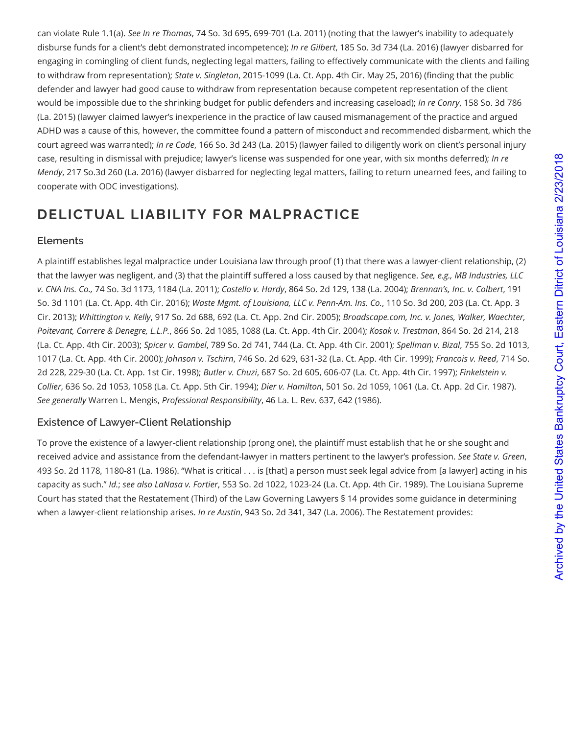can violate Rule 1.1(a). See In re Thomas, 74 So. 3d 695, 699-701 (La. 2011) (noting that the lawyer's inability to adequately disburse funds for a client's debt demonstrated incompetence); In re Gilbert, 185 So. 3d 734 (La. 2016) (lawyer disbarred for engaging in comingling of client funds, neglecting legal matters, failing to effectively communicate with the clients and failing to withdraw from representation); State v. Singleton, 2015-1099 (La. Ct. App. 4th Cir. May 25, 2016) (finding that the public defender and lawyer had good cause to withdraw from representation because competent representation of the client would be impossible due to the shrinking budget for public defenders and increasing caseload); In re Conry, 158 So. 3d 786 (La. 2015) (lawyer claimed lawyer's inexperience in the practice of law caused mismanagement of the practice and argued ADHD was a cause of this, however, the committee found a pattern of misconduct and recommended disbarment, which the court agreed was warranted); In re Cade, 166 So. 3d 243 (La. 2015) (lawyer failed to diligently work on client's personal injury case, resulting in dismissal with prejudice; lawyer's license was suspended for one year, with six months deferred); In re Mendy, 217 So.3d 260 (La. 2016) (lawyer disbarred for neglecting legal matters, failing to return unearned fees, and failing to cooperate with ODC investigations).

# DELICTUAL LIABILITY FOR MALPRACTICE

#### <span id="page-3-0"></span>Elements

A plaintiff establishes legal malpractice under Louisiana law through proof (1) that there was a lawyer-client relationship, (2) that the lawyer was negligent, and (3) that the plaintiff suffered a loss caused by that negligence. See, e.g., MB Industries, LLC v. CNA Ins. Co., 74 So. 3d 1173, 1184 (La. 2011); Costello v. Hardy, 864 So. 2d 129, 138 (La. 2004); Brennan's, Inc. v. Colbert, 191 So. 3d 1101 (La. Ct. App. 4th Cir. 2016); Waste Mgmt. of Louisiana, LLC v. Penn-Am. Ins. Co., 110 So. 3d 200, 203 (La. Ct. App. 3 Cir. 2013); Whittington v. Kelly, 917 So. 2d 688, 692 (La. Ct. App. 2nd Cir. 2005); Broadscape.com, Inc. v. Jones, Walker, Waechter, Poitevant, Carrere & Denegre, L.L.P., 866 So. 2d 1085, 1088 (La. Ct. App. 4th Cir. 2004); Kosak v. Trestman, 864 So. 2d 214, 218 (La. Ct. App. 4th Cir. 2003); Spicer v. Gambel, 789 So. 2d 741, 744 (La. Ct. App. 4th Cir. 2001); Spellman v. Bizal, 755 So. 2d 1013, 1017 (La. Ct. App. 4th Cir. 2000); Johnson v. Tschirn, 746 So. 2d 629, 631-32 (La. Ct. App. 4th Cir. 1999); Francois v. Reed, 714 So. 2d 228, 229-30 (La. Ct. App. 1st Cir. 1998); Butler v. Chuzi, 687 So. 2d 605, 606-07 (La. Ct. App. 4th Cir. 1997); Finkelstein v. Collier, 636 So. 2d 1053, 1058 (La. Ct. App. 5th Cir. 1994); Dier v. Hamilton, 501 So. 2d 1059, 1061 (La. Ct. App. 2d Cir. 1987). See generally Warren L. Mengis, Professional Responsibility, 46 La. L. Rev. 637, 642 (1986).

#### <span id="page-3-1"></span>Existence of Lawyer-Client Relationship

To prove the existence of a lawyer-client relationship (prong one), the plaintiff must establish that he or she sought and received advice and assistance from the defendant-lawyer in matters pertinent to the lawyer's profession. See State v. Green, 493 So. 2d 1178, 1180-81 (La. 1986). "What is critical . . . is [that] a person must seek legal advice from [a lawyer] acting in his capacity as such." Id.; see also LaNasa v. Fortier, 553 So. 2d 1022, 1023-24 (La. Ct. App. 4th Cir. 1989). The Louisiana Supreme Court has stated that the Restatement (Third) of the Law Governing Lawyers § 14 provides some guidance in determining when a lawyer-client relationship arises. In re Austin, 943 So. 2d 341, 347 (La. 2006). The Restatement provides: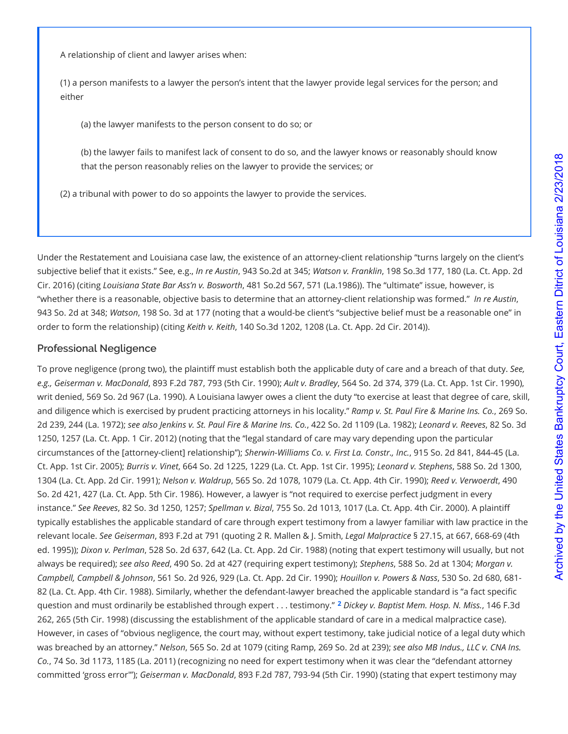A relationship of client and lawyer arises when:

(1) a person manifests to a lawyer the person's intent that the lawyer provide legal services for the person; and either

(a) the lawyer manifests to the person consent to do so; or

(b) the lawyer fails to manifest lack of consent to do so, and the lawyer knows or reasonably should know that the person reasonably relies on the lawyer to provide the services; or

(2) a tribunal with power to do so appoints the lawyer to provide the services.

Under the Restatement and Louisiana case law, the existence of an attorney-client relationship "turns largely on the client's subjective belief that it exists." See, e.g., In re Austin, 943 So.2d at 345; Watson v. Franklin, 198 So.3d 177, 180 (La. Ct. App. 2d Cir. 2016) (citing Louisiana State Bar Ass'n v. Bosworth, 481 So.2d 567, 571 (La.1986)). The "ultimate" issue, however, is "whether there is a reasonable, objective basis to determine that an attorney-client relationship was formed." In re Austin, 943 So. 2d at 348; Watson, 198 So. 3d at 177 (noting that a would-be client's "subjective belief must be a reasonable one" in order to form the relationship) (citing Keith v. Keith, 140 So.3d 1202, 1208 (La. Ct. App. 2d Cir. 2014)).

#### <span id="page-4-0"></span>Professional Negligence

<span id="page-4-1"></span>To prove negligence (prong two), the plaintiff must establish both the applicable duty of care and a breach of that duty. See, e.g., Geiserman v. MacDonald, 893 F.2d 787, 793 (5th Cir. 1990); Ault v. Bradley, 564 So. 2d 374, 379 (La. Ct. App. 1st Cir. 1990), writ denied, 569 So. 2d 967 (La. 1990). A Louisiana lawyer owes a client the duty "to exercise at least that degree of care, skill, and diligence which is exercised by prudent practicing attorneys in his locality." Ramp v. St. Paul Fire & Marine Ins. Co., 269 So. 2d 239, 244 (La. 1972); see also Jenkins v. St. Paul Fire & Marine Ins. Co., 422 So. 2d 1109 (La. 1982); Leonard v. Reeves, 82 So. 3d 1250, 1257 (La. Ct. App. 1 Cir. 2012) (noting that the "legal standard of care may vary depending upon the particular circumstances of the [attorney-client] relationship"); Sherwin-Williams Co. v. First La. Constr., Inc., 915 So. 2d 841, 844-45 (La. Ct. App. 1st Cir. 2005); Burris v. Vinet, 664 So. 2d 1225, 1229 (La. Ct. App. 1st Cir. 1995); Leonard v. Stephens, 588 So. 2d 1300, 1304 (La. Ct. App. 2d Cir. 1991); Nelson v. Waldrup, 565 So. 2d 1078, 1079 (La. Ct. App. 4th Cir. 1990); Reed v. Verwoerdt, 490 So. 2d 421, 427 (La. Ct. App. 5th Cir. 1986). However, a lawyer is "not required to exercise perfect judgment in every instance." See Reeves, 82 So. 3d 1250, 1257; Spellman v. Bizal, 755 So. 2d 1013, 1017 (La. Ct. App. 4th Cir. 2000). A plaintiff typically establishes the applicable standard of care through expert testimony from a lawyer familiar with law practice in the relevant locale. See Geiserman, 893 F.2d at 791 (quoting 2 R. Mallen & J. Smith, Legal Malpractice § 27.15, at 667, 668-69 (4th ed. 1995)); Dixon v. Perlman, 528 So. 2d 637, 642 (La. Ct. App. 2d Cir. 1988) (noting that expert testimony will usually, but not always be required); see also Reed, 490 So. 2d at 427 (requiring expert testimony); Stephens, 588 So. 2d at 1304; Morgan v. Campbell, Campbell & Johnson, 561 So. 2d 926, 929 (La. Ct. App. 2d Cir. 1990); Houillon v. Powers & Nass, 530 So. 2d 680, 681- 82 (La. Ct. App. 4th Cir. 1988). Similarly, whether the defendant-lawyer breached the applicable standard is "a fact specific question and must ordinarily be established through expert . . . testimony." <sup>[2](#page-9-4)</sup> Dickey v. Baptist Mem. Hosp. N. Miss., 146 F.3d 262, 265 (5th Cir. 1998) (discussing the establishment of the applicable standard of care in a medical malpractice case). However, in cases of "obvious negligence, the court may, without expert testimony, take judicial notice of a legal duty which was breached by an attorney." Nelson, 565 So. 2d at 1079 (citing Ramp, 269 So. 2d at 239); see also MB Indus., LLC v. CNA Ins. Co., 74 So. 3d 1173, 1185 (La. 2011) (recognizing no need for expert testimony when it was clear the "defendant attorney committed 'gross error'"); Geiserman v. MacDonald, 893 F.2d 787, 793-94 (5th Cir. 1990) (stating that expert testimony may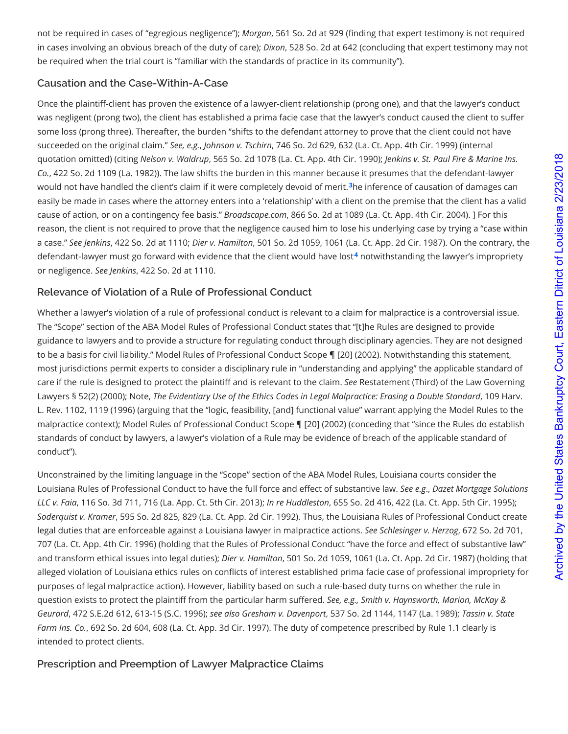not be required in cases of "egregious negligence"); Morgan, 561 So. 2d at 929 (finding that expert testimony is not required in cases involving an obvious breach of the duty of care); Dixon, 528 So. 2d at 642 (concluding that expert testimony may not be required when the trial court is "familiar with the standards of practice in its community").

#### <span id="page-5-0"></span>Causation and the Case-Within-A-Case

<span id="page-5-3"></span>Once the plaintiff-client has proven the existence of a lawyer-client relationship (prong one), and that the lawyer's conduct was negligent (prong two), the client has established a prima facie case that the lawyer's conduct caused the client to suffer some loss (prong three). Thereafter, the burden "shifts to the defendant attorney to prove that the client could not have succeeded on the original claim." See, e.g., Johnson v. Tschirn, 746 So. 2d 629, 632 (La. Ct. App. 4th Cir. 1999) (internal quotation omitted) (citing Nelson v. Waldrup, 565 So. 2d 1078 (La. Ct. App. 4th Cir. 1990); Jenkins v. St. Paul Fire & Marine Ins. Co., 422 So. 2d 1109 (La. 1982)). The law shifts the burden in this manner because it presumes that the defendant-lawyer would not have handled the client's claim if it were completely devoid of merit.<sup>[3](#page-9-5)</sup>he inference of causation of damages can easily be made in cases where the attorney enters into a 'relationship' with a client on the premise that the client has a valid cause of action, or on a contingency fee basis." Broadscape.com, 866 So. 2d at 1089 (La. Ct. App. 4th Cir. 2004). ] For this reason, the client is not required to prove that the negligence caused him to lose his underlying case by trying a "case within a case." See Jenkins, 422 So. 2d at 1110; Dier v. Hamilton, 501 So. 2d 1059, 1061 (La. Ct. App. 2d Cir. 1987). On the contrary, the defendant-lawyer must go forward with evidence that the client would have lost<sup>4</sup> notwithstanding the lawyer's impropriety or negligence. See Jenkins, 422 So. 2d at 1110.

#### <span id="page-5-4"></span><span id="page-5-1"></span>Relevance of Violation of a Rule of Professional Conduct

Whether a lawyer's violation of a rule of professional conduct is relevant to a claim for malpractice is a controversial issue. The "Scope" section of the ABA Model Rules of Professional Conduct states that "[t]he Rules are designed to provide guidance to lawyers and to provide a structure for regulating conduct through disciplinary agencies. They are not designed to be a basis for civil liability." Model Rules of Professional Conduct Scope ¶ [20] (2002). Notwithstanding this statement, most jurisdictions permit experts to consider a disciplinary rule in "understanding and applying" the applicable standard of care if the rule is designed to protect the plaintiff and is relevant to the claim. See Restatement (Third) of the Law Governing Lawyers § 52(2) (2000); Note, The Evidentiary Use of the Ethics Codes in Legal Malpractice: Erasing a Double Standard, 109 Harv. L. Rev. 1102, 1119 (1996) (arguing that the "logic, feasibility, [and] functional value" warrant applying the Model Rules to the malpractice context); Model Rules of Professional Conduct Scope ¶ [20] (2002) (conceding that "since the Rules do establish standards of conduct by lawyers, a lawyer's violation of a Rule may be evidence of breach of the applicable standard of conduct").

Unconstrained by the limiting language in the "Scope" section of the ABA Model Rules, Louisiana courts consider the Louisiana Rules of Professional Conduct to have the full force and effect of substantive law. See e.g., Dazet Mortgage Solutions LLC v. Faia, 116 So. 3d 711, 716 (La. App. Ct. 5th Cir. 2013); In re Huddleston, 655 So. 2d 416, 422 (La. Ct. App. 5th Cir. 1995); Soderquist v. Kramer, 595 So. 2d 825, 829 (La. Ct. App. 2d Cir. 1992). Thus, the Louisiana Rules of Professional Conduct create legal duties that are enforceable against a Louisiana lawyer in malpractice actions. See Schlesinger v. Herzog, 672 So. 2d 701, 707 (La. Ct. App. 4th Cir. 1996) (holding that the Rules of Professional Conduct "have the force and effect of substantive law" and transform ethical issues into legal duties); Dier v. Hamilton, 501 So. 2d 1059, 1061 (La. Ct. App. 2d Cir. 1987) (holding that alleged violation of Louisiana ethics rules on conflicts of interest established prima facie case of professional impropriety for purposes of legal malpractice action). However, liability based on such a rule-based duty turns on whether the rule in question exists to protect the plaintiff from the particular harm suffered. See, e.g., Smith v. Haynsworth, Marion, McKay & Geurard, 472 S.E.2d 612, 613-15 (S.C. 1996); see also Gresham v. Davenport, 537 So. 2d 1144, 1147 (La. 1989); Tassin v. State Farm Ins. Co., 692 So. 2d 604, 608 (La. Ct. App. 3d Cir. 1997). The duty of competence prescribed by Rule 1.1 clearly is intended to protect clients.

#### <span id="page-5-6"></span><span id="page-5-5"></span><span id="page-5-2"></span>Prescription and Preemption of Lawyer Malpractice Claims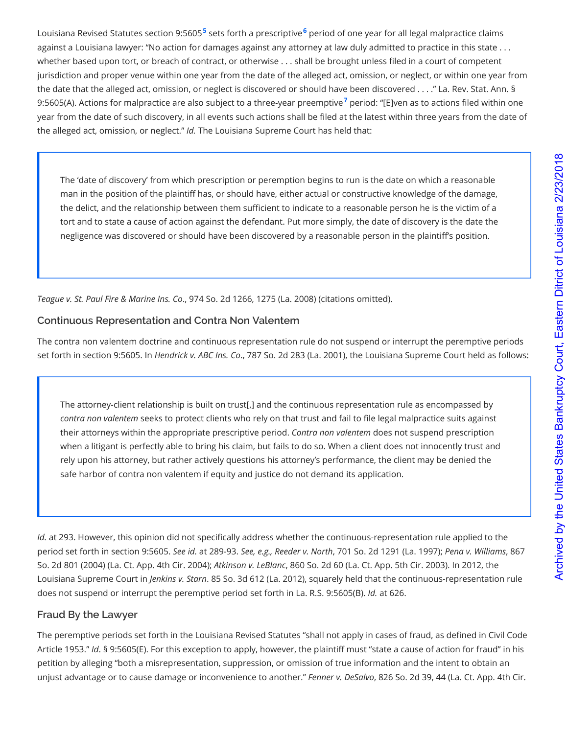Louisiana Revised Statutes section 9:5605<sup>5</sup> sets forth a prescriptive<sup>6</sup> period of one year for all legal malpractice claims against a Louisiana lawyer: "No action for damages against any attorney at law duly admitted to practice in this state . . . whether based upon tort, or breach of contract, or otherwise . . . shall be brought unless filed in a court of competent jurisdiction and proper venue within one year from the date of the alleged act, omission, or neglect, or within one year from the date that the alleged act, omission, or neglect is discovered or should have been discovered . . . ." La. Rev. Stat. Ann. § 9:5605(A). Actions for malpractice are also subject to a three-year preemptive<sup>[7](#page-10-2)</sup> period: "[E]ven as to actions filed within one year from the date of such discovery, in all events such actions shall be filed at the latest within three years from the date of the alleged act, omission, or neglect." Id. The Louisiana Supreme Court has held that:

<span id="page-6-2"></span>The 'date of discovery' from which prescription or peremption begins to run is the date on which a reasonable man in the position of the plaintiff has, or should have, either actual or constructive knowledge of the damage, the delict, and the relationship between them sufficient to indicate to a reasonable person he is the victim of a tort and to state a cause of action against the defendant. Put more simply, the date of discovery is the date the negligence was discovered or should have been discovered by a reasonable person in the plaintiff's position.

Teague v. St. Paul Fire & Marine Ins. Co., 974 So. 2d 1266, 1275 (La. 2008) (citations omitted).

#### <span id="page-6-0"></span>Continuous Representation and Contra Non Valentem

The contra non valentem doctrine and continuous representation rule do not suspend or interrupt the peremptive periods set forth in section 9:5605. In Hendrick v. ABC Ins. Co., 787 So. 2d 283 (La. 2001), the Louisiana Supreme Court held as follows:

The attorney-client relationship is built on trust[,] and the continuous representation rule as encompassed by contra non valentem seeks to protect clients who rely on that trust and fail to file legal malpractice suits against their attorneys within the appropriate prescriptive period. Contra non valentem does not suspend prescription when a litigant is perfectly able to bring his claim, but fails to do so. When a client does not innocently trust and rely upon his attorney, but rather actively questions his attorney's performance, the client may be denied the safe harbor of contra non valentem if equity and justice do not demand its application.

Id. at 293. However, this opinion did not specifically address whether the continuous-representation rule applied to the period set forth in section 9:5605. See id. at 289-93. See, e.g., Reeder v. North, 701 So. 2d 1291 (La. 1997); Pena v. Williams, 867 So. 2d 801 (2004) (La. Ct. App. 4th Cir. 2004); Atkinson v. LeBlanc, 860 So. 2d 60 (La. Ct. App. 5th Cir. 2003). In 2012, the Louisiana Supreme Court in Jenkins v. Starn. 85 So. 3d 612 (La. 2012), squarely held that the continuous-representation rule does not suspend or interrupt the peremptive period set forth in La. R.S. 9:5605(B). Id. at 626.

#### <span id="page-6-1"></span>Fraud By the Lawyer

The peremptive periods set forth in the Louisiana Revised Statutes "shall not apply in cases of fraud, as defined in Civil Code Article 1953." Id. § 9:5605(E). For this exception to apply, however, the plaintiff must "state a cause of action for fraud" in his petition by alleging "both a misrepresentation, suppression, or omission of true information and the intent to obtain an unjust advantage or to cause damage or inconvenience to another." Fenner v. DeSalvo, 826 So. 2d 39, 44 (La. Ct. App. 4th Cir.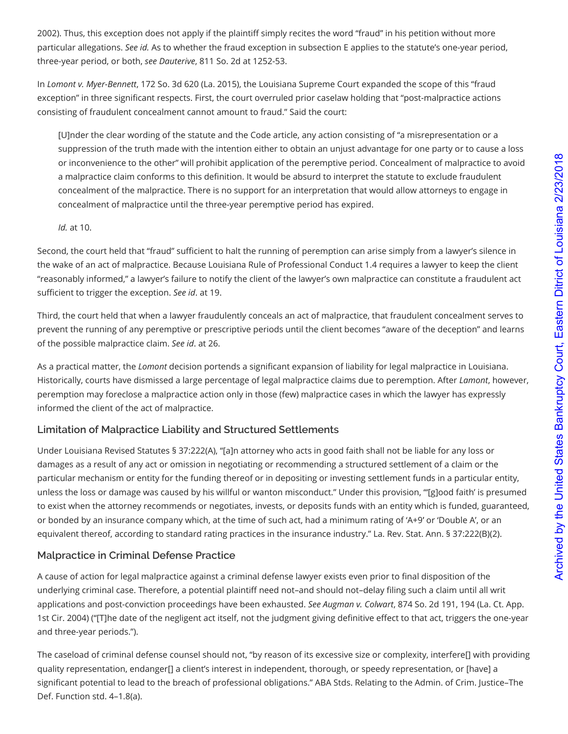2002). Thus, this exception does not apply if the plaintiff simply recites the word "fraud" in his petition without more particular allegations. See id. As to whether the fraud exception in subsection E applies to the statute's one-year period, three-year period, or both, see Dauterive, 811 So. 2d at 1252-53.

In Lomont v. Myer-Bennett, 172 So. 3d 620 (La. 2015), the Louisiana Supreme Court expanded the scope of this "fraud exception" in three significant respects. First, the court overruled prior caselaw holding that "post-malpractice actions consisting of fraudulent concealment cannot amount to fraud." Said the court:

[U]nder the clear wording of the statute and the Code article, any action consisting of "a misrepresentation or a suppression of the truth made with the intention either to obtain an unjust advantage for one party or to cause a loss or inconvenience to the other" will prohibit application of the peremptive period. Concealment of malpractice to avoid a malpractice claim conforms to this definition. It would be absurd to interpret the statute to exclude fraudulent concealment of the malpractice. There is no support for an interpretation that would allow attorneys to engage in concealment of malpractice until the three-year peremptive period has expired.

Id. at 10.

Second, the court held that "fraud" sufficient to halt the running of peremption can arise simply from a lawyer's silence in the wake of an act of malpractice. Because Louisiana Rule of Professional Conduct 1.4 requires a lawyer to keep the client "reasonably informed," a lawyer's failure to notify the client of the lawyer's own malpractice can constitute a fraudulent act sufficient to trigger the exception. See id. at 19.

Third, the court held that when a lawyer fraudulently conceals an act of malpractice, that fraudulent concealment serves to prevent the running of any peremptive or prescriptive periods until the client becomes "aware of the deception" and learns of the possible malpractice claim. See id. at 26.

As a practical matter, the Lomont decision portends a significant expansion of liability for legal malpractice in Louisiana. Historically, courts have dismissed a large percentage of legal malpractice claims due to peremption. After Lamont, however, peremption may foreclose a malpractice action only in those (few) malpractice cases in which the lawyer has expressly informed the client of the act of malpractice.

#### <span id="page-7-0"></span>Limitation of Malpractice Liability and Structured Settlements

Under Louisiana Revised Statutes § 37:222(A), "[a]n attorney who acts in good faith shall not be liable for any loss or damages as a result of any act or omission in negotiating or recommending a structured settlement of a claim or the particular mechanism or entity for the funding thereof or in depositing or investing settlement funds in a particular entity, unless the loss or damage was caused by his willful or wanton misconduct." Under this provision, "'[g]ood faith' is presumed to exist when the attorney recommends or negotiates, invests, or deposits funds with an entity which is funded, guaranteed, or bonded by an insurance company which, at the time of such act, had a minimum rating of 'A+9′ or 'Double A', or an equivalent thereof, according to standard rating practices in the insurance industry." La. Rev. Stat. Ann. § 37:222(B)(2).

#### <span id="page-7-1"></span>Malpractice in Criminal Defense Practice

A cause of action for legal malpractice against a criminal defense lawyer exists even prior to final disposition of the underlying criminal case. Therefore, a potential plaintiff need not-and should not-delay filing such a claim until all writ applications and post-conviction proceedings have been exhausted. See Augman v. Colwart, 874 So. 2d 191, 194 (La. Ct. App. 1st Cir. 2004) ("[T]he date of the negligent act itself, not the judgment giving definitive effect to that act, triggers the one-year and three-year periods.").

The caseload of criminal defense counsel should not, "by reason of its excessive size or complexity, interfere[] with providing quality representation, endanger[] a client's interest in independent, thorough, or speedy representation, or [have] a significant potential to lead to the breach of professional obligations." ABA Stds. Relating to the Admin. of Crim. Justice-The Def. Function std. 4–1.8(a).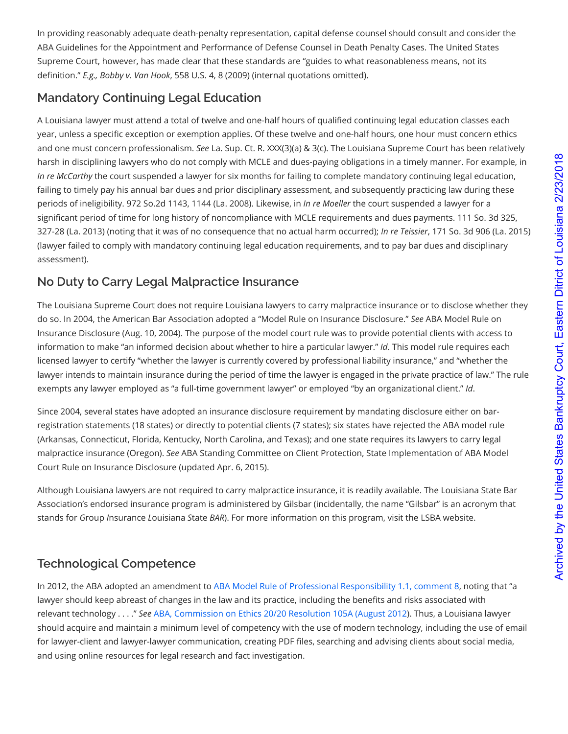In providing reasonably adequate death-penalty representation, capital defense counsel should consult and consider the ABA Guidelines for the Appointment and Performance of Defense Counsel in Death Penalty Cases. The United States Supreme Court, however, has made clear that these standards are "guides to what reasonableness means, not its definition." E.g., Bobby v. Van Hook, 558 U.S. 4, 8 (2009) (internal quotations omitted).

## <span id="page-8-0"></span>Mandatory Continuing Legal Education

A Louisiana lawyer must attend a total of twelve and one-half hours of qualified continuing legal education classes each year, unless a specific exception or exemption applies. Of these twelve and one-half hours, one hour must concern ethics and one must concern professionalism. See La. Sup. Ct. R. XXX(3)(a) & 3(c). The Louisiana Supreme Court has been relatively harsh in disciplining lawyers who do not comply with MCLE and dues-paying obligations in a timely manner. For example, in In re McCarthy the court suspended a lawyer for six months for failing to complete mandatory continuing legal education, failing to timely pay his annual bar dues and prior disciplinary assessment, and subsequently practicing law during these periods of ineligibility. 972 So.2d 1143, 1144 (La. 2008). Likewise, in In re Moeller the court suspended a lawyer for a significant period of time for long history of noncompliance with MCLE requirements and dues payments. 111 So. 3d 325, 327-28 (La. 2013) (noting that it was of no consequence that no actual harm occurred); In re Teissier, 171 So. 3d 906 (La. 2015) (lawyer failed to comply with mandatory continuing legal education requirements, and to pay bar dues and disciplinary assessment).

## <span id="page-8-1"></span>No Duty to Carry Legal Malpractice Insurance

The Louisiana Supreme Court does not require Louisiana lawyers to carry malpractice insurance or to disclose whether they do so. In 2004, the American Bar Association adopted a "Model Rule on Insurance Disclosure." See ABA Model Rule on Insurance Disclosure (Aug. 10, 2004). The purpose of the model court rule was to provide potential clients with access to information to make "an informed decision about whether to hire a particular lawyer." Id. This model rule requires each licensed lawyer to certify "whether the lawyer is currently covered by professional liability insurance," and "whether the lawyer intends to maintain insurance during the period of time the lawyer is engaged in the private practice of law." The rule exempts any lawyer employed as "a full-time government lawyer" or employed "by an organizational client." Id.

Since 2004, several states have adopted an insurance disclosure requirement by mandating disclosure either on barregistration statements (18 states) or directly to potential clients (7 states); six states have rejected the ABA model rule (Arkansas, Connecticut, Florida, Kentucky, North Carolina, and Texas); and one state requires its lawyers to carry legal malpractice insurance (Oregon). See ABA Standing Committee on Client Protection, State Implementation of ABA Model Court Rule on Insurance Disclosure (updated Apr. 6, 2015).

Although Louisiana lawyers are not required to carry malpractice insurance, it is readily available. The Louisiana State Bar Association's endorsed insurance program is administered by Gilsbar (incidentally, the name "Gilsbar" is an acronym that stands for Group Insurance Louisiana State BAR). For more information on this program, visit the LSBA website.

# <span id="page-8-2"></span>Technological Competence

In 2012, the ABA adopted an amendment to [ABA Model Rule of Professional Responsibility 1.1, comment 8,](http://www.americanbar.org/groups/professional_responsibility/publications/model_rules_of_professional_conduct/rule_1_1_competence/comment_on_rule_1_1.html) noting that "a lawyer should keep abreast of changes in the law and its practice, including the benefits and risks associated with relevant technology . . . ." See [ABA, Commission on Ethics 20/20 Resolution 105A \(August 2012](http://www.americanbar.org/content/dam/aba/administrative/ethics_2020/2012_hod_annual_meeting_105a_filed_may_2012.authcheckdam.pdf)). Thus, a Louisiana lawyer should acquire and maintain a minimum level of competency with the use of modern technology, including the use of email for lawyer-client and lawyer-lawyer communication, creating PDF files, searching and advising clients about social media, and using online resources for legal research and fact investigation.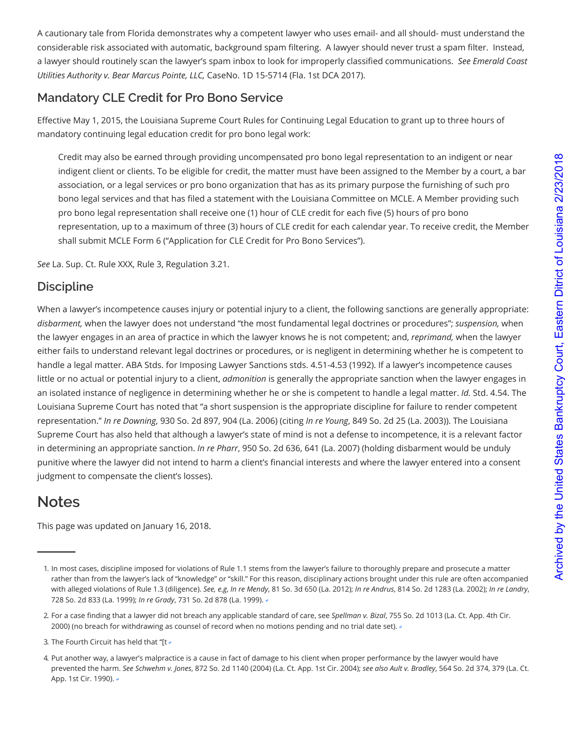A cautionary tale from Florida demonstrates why a competent lawyer who uses email- and all should- must understand the considerable risk associated with automatic, background spam filtering. A lawyer should never trust a spam filter. Instead, a lawyer should routinely scan the lawyer's spam inbox to look for improperly classified communications. See Emerald Coast Utilities Authority v. Bear Marcus Pointe, LLC, CaseNo. 1D 15-5714 (Fla. 1st DCA 2017).

### <span id="page-9-0"></span>Mandatory CLE Credit for Pro Bono Service

Effective May 1, 2015, the Louisiana Supreme Court Rules for Continuing Legal Education to grant up to three hours of mandatory continuing legal education credit for pro bono legal work:

Credit may also be earned through providing uncompensated pro bono legal representation to an indigent or near indigent client or clients. To be eligible for credit, the matter must have been assigned to the Member by a court, a bar association, or a legal services or pro bono organization that has as its primary purpose the furnishing of such pro bono legal services and that has filed a statement with the Louisiana Committee on MCLE. A Member providing such pro bono legal representation shall receive one (1) hour of CLE credit for each five (5) hours of pro bono representation, up to a maximum of three (3) hours of CLE credit for each calendar year. To receive credit, the Member shall submit MCLE Form 6 ("Application for CLE Credit for Pro Bono Services").

See La. Sup. Ct. Rule XXX, Rule 3, Regulation 3.21.

#### <span id="page-9-1"></span>**Discipline**

When a lawyer's incompetence causes injury or potential injury to a client, the following sanctions are generally appropriate: disbarment, when the lawyer does not understand "the most fundamental legal doctrines or procedures"; suspension, when the lawyer engages in an area of practice in which the lawyer knows he is not competent; and, *reprimand*, when the lawyer either fails to understand relevant legal doctrines or procedures, or is negligent in determining whether he is competent to handle a legal matter. ABA Stds. for Imposing Lawyer Sanctions stds. 4.51-4.53 (1992). If a lawyer's incompetence causes little or no actual or potential injury to a client, *admonition* is generally the appropriate sanction when the lawyer engages in an isolated instance of negligence in determining whether he or she is competent to handle a legal matter. Id. Std. 4.54. The Louisiana Supreme Court has noted that "a short suspension is the appropriate discipline for failure to render competent representation." In re Downing, 930 So. 2d 897, 904 (La. 2006) (citing In re Young, 849 So. 2d 25 (La. 2003)). The Louisiana Supreme Court has also held that although a lawyer's state of mind is not a defense to incompetence, it is a relevant factor in determining an appropriate sanction. In re Pharr, 950 So. 2d 636, 641 (La. 2007) (holding disbarment would be unduly punitive where the lawyer did not intend to harm a client's financial interests and where the lawyer entered into a consent judgment to compensate the client's losses).

# <span id="page-9-2"></span>**Notes**

This page was updated on January 16, 2018.

<span id="page-9-3"></span><sup>1.</sup> In most cases, discipline imposed for violations of Rule 1.1 stems from the lawyer's failure to thoroughly prepare and prosecute a matter rather than from the lawyer's lack of "knowledge" or "skill." For this reason, disciplinary actions brought under this rule are often accompanied with alleged violations of Rule 1.3 (diligence). See, e.g, In re Mendy, 81 So. 3d 650 (La. 2012); In re Andrus, 814 So. 2d 1283 (La. 2002); In re Landry, 728 So. 2d 833 (La. 1999); In re Grady, 731 So. 2d 878 (La. 1999). 4

<span id="page-9-4"></span><sup>2.</sup> For a case finding that a lawyer did not breach any applicable standard of care, see Spellman v. Bizal, 755 So. 2d 1013 (La. Ct. App. 4th Cir. 2000) (no breach for withdrawing as counsel of record when no motions pending and no trial date set). e

<span id="page-9-5"></span><sup>3.</sup> The Fourth Circuit has held that "[t  $\cdot$ 

<span id="page-9-6"></span><sup>4.</sup> Put another way, a lawyer's malpractice is a cause in fact of damage to his client when proper performance by the lawyer would have prevented the harm. See Schwehm v. Jones, 872 So. 2d 1140 (2004) (La. Ct. App. 1st Cir. 2004); see also Ault v. Bradley, 564 So. 2d 374, 379 (La. Ct. App. 1st Cir. 1990). 4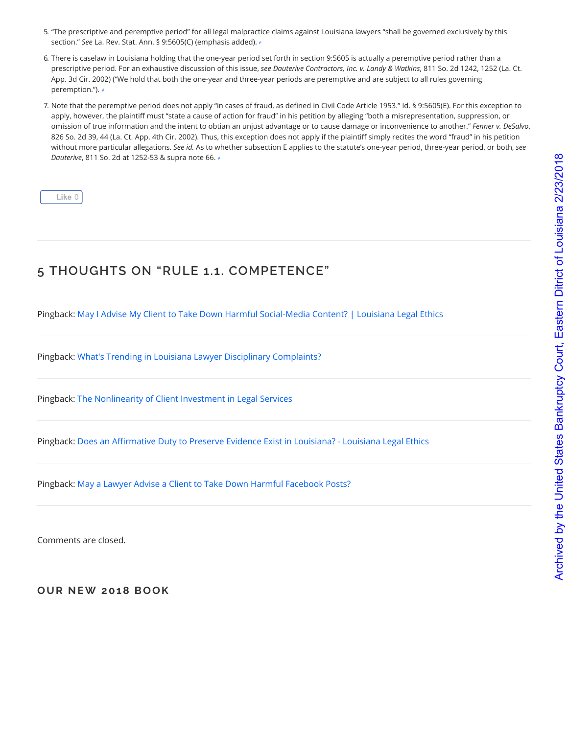- <span id="page-10-0"></span>5. "The prescriptive and peremptive period" for all legal malpractice claims against Louisiana lawyers "shall be governed exclusively by this section." See La. Rev. Stat. Ann. § 9:5605(C) (emphasis added). 4
- <span id="page-10-1"></span>6. There is caselaw in Louisiana holding that the one-year period set forth in section 9:5605 is actually a peremptive period rather than a prescriptive period. For an exhaustive discussion of this issue, see Dauterive Contractors, Inc. v. Landy & Watkins, 811 So. 2d 1242, 1252 (La. Ct. App. 3d Cir. 2002) ("We hold that both the one-year and three-year periods are peremptive and are subject to all rules governing peremption."). <sup>↓</sup>
- <span id="page-10-2"></span>7. Note that the peremptive period does not apply "in cases of fraud, as defined in Civil Code Article 1953." Id. § 9:5605(E). For this exception to apply, however, the plaintiff must "state a cause of action for fraud" in his petition by alleging "both a misrepresentation, suppression, or omission of true information and the intent to obtian an unjust advantage or to cause damage or inconvenience to another." Fenner v. DeSalvo, 826 So. 2d 39, 44 (La. Ct. App. 4th Cir. 2002). Thus, this exception does not apply if the plaintiff simply recites the word "fraud" in his petition without more particular allegations. See id. As to whether subsection E applies to the statute's one-year period, three-year period, or both, see Dauterive, 811 So. 2d at 1252-53 & supra note 66. ↓

```
Like 0
```
## 5 THOUGHTS ON "RULE 1.1. COMPETENCE"

Pingback: [May I Advise My Client to Take Down Harmful Social-Media Content? | Louisiana Legal Ethics](https://lalegalethics.org/may-i-advise-my-client-to-take-down-social-media-content/)

Pingback: [What's Trending in Louisiana Lawyer Disciplinary Complaints?](https://lalegalethics.org/whats-trending-louisiana-lawyer-disciplinary-complaints/)

Pingback: [The Nonlinearity of Client Investment in Legal Services](https://lalegalethics.org/nonlinearity-client-investment-legal-services/)

Pingback: Does an Affirmative Duty to Preserve Evidence Exist in Louisiana? - Louisiana Legal Ethics

Pingback: [May a Lawyer Advise a Client to Take Down Harmful Facebook Posts?](https://lalegalethics.org/north-carolina-state-bar-formal-ethics-opinion-5-july-2014/)

Comments are closed.

**OUR NEW 2018 BOOK**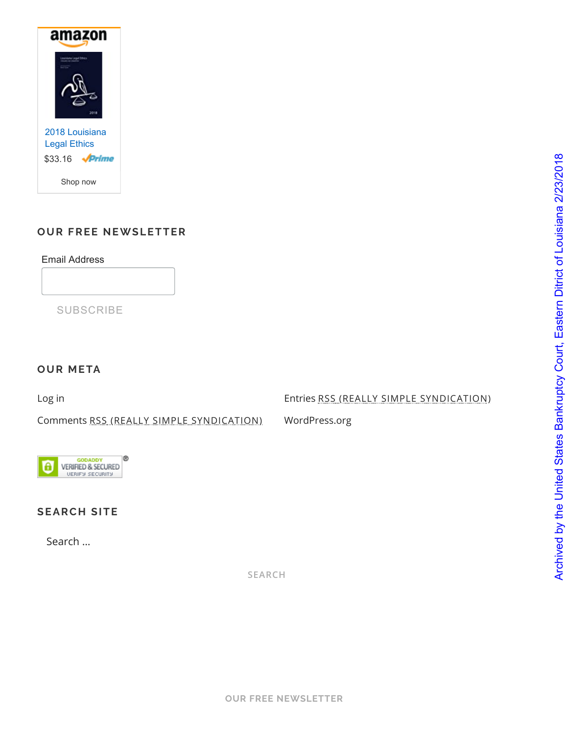

#### OUR FREE NEWSLETTER

Email Address

SUBSCRIBE

#### **OUR META**

Comments [RSS \(REALLY SIMPLE SYNDICATION\)](https://lalegalethics.org/comments/feed/) [WordPress.org](https://wordpress.org/)

#### [Log in](https://lalegalethics.org/wp-login.php) Entries [RSS \(REALLY SIMPLE SYNDICATION\)](https://lalegalethics.org/feed/)



#### **SEARCH SITE**

Search …

SEARCH